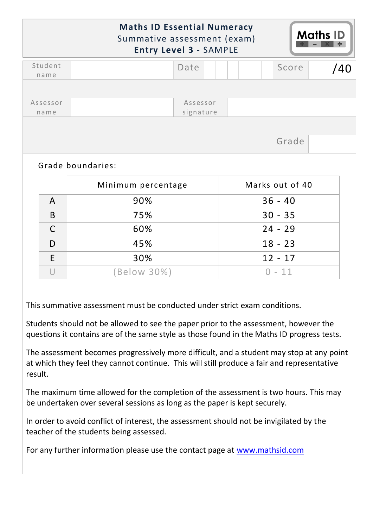|                  | <b>Maths ID Essential Numeracy</b><br>Summative assessment (exam)<br><b>Entry Level 3 - SAMPLE</b> |                       |  |  |                 | <b>Maths ID</b> |     |
|------------------|----------------------------------------------------------------------------------------------------|-----------------------|--|--|-----------------|-----------------|-----|
| Student<br>name  |                                                                                                    | Date                  |  |  | Score           |                 | /40 |
|                  |                                                                                                    |                       |  |  |                 |                 |     |
| Assessor<br>name |                                                                                                    | Assessor<br>signature |  |  |                 |                 |     |
|                  |                                                                                                    |                       |  |  |                 |                 |     |
|                  | Grade boundaries:                                                                                  |                       |  |  | Grade           |                 |     |
|                  | Minimum percentage                                                                                 |                       |  |  | Marks out of 40 |                 |     |
| $\mathsf{A}$     | 90%                                                                                                |                       |  |  | $36 - 40$       |                 |     |
| B                | 75%                                                                                                |                       |  |  | $30 - 35$       |                 |     |
| $\mathsf{C}$     | 60%                                                                                                |                       |  |  | $24 - 29$       |                 |     |
| D                | 45%                                                                                                |                       |  |  | $18 - 23$       |                 |     |
| E                | 30%                                                                                                |                       |  |  | $12 - 17$       |                 |     |

This summative assessment must be conducted under strict exam conditions.

Students should not be allowed to see the paper prior to the assessment, however the questions it contains are of the same style as those found in the Maths ID progress tests.

The assessment becomes progressively more difficult, and a student may stop at any point at which they feel they cannot continue. This will still produce a fair and representative result.

The maximum time allowed for the completion of the assessment is two hours. This may be undertaken over several sessions as long as the paper is kept securely.

In order to avoid conflict of interest, the assessment should not be invigilated by the teacher of the students being assessed.

For any further information please use the contact page at [www.mathsid.com](http://www.mathsid.com/)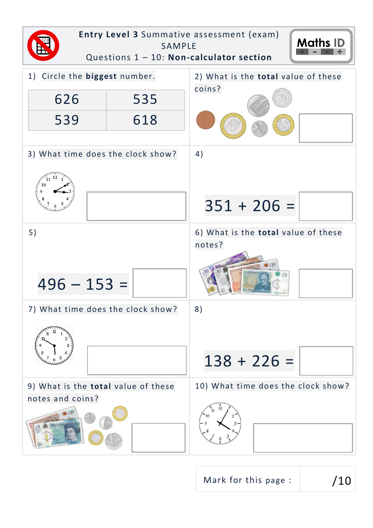

Mark for this page :  $/10$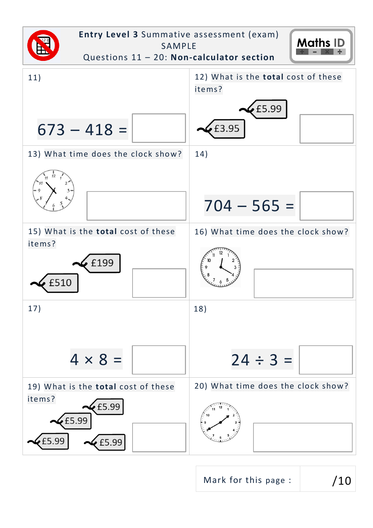

Mark for this page :  $/10$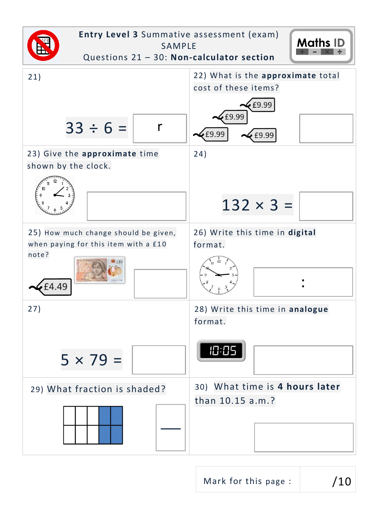

Mark for this page :  $/10$